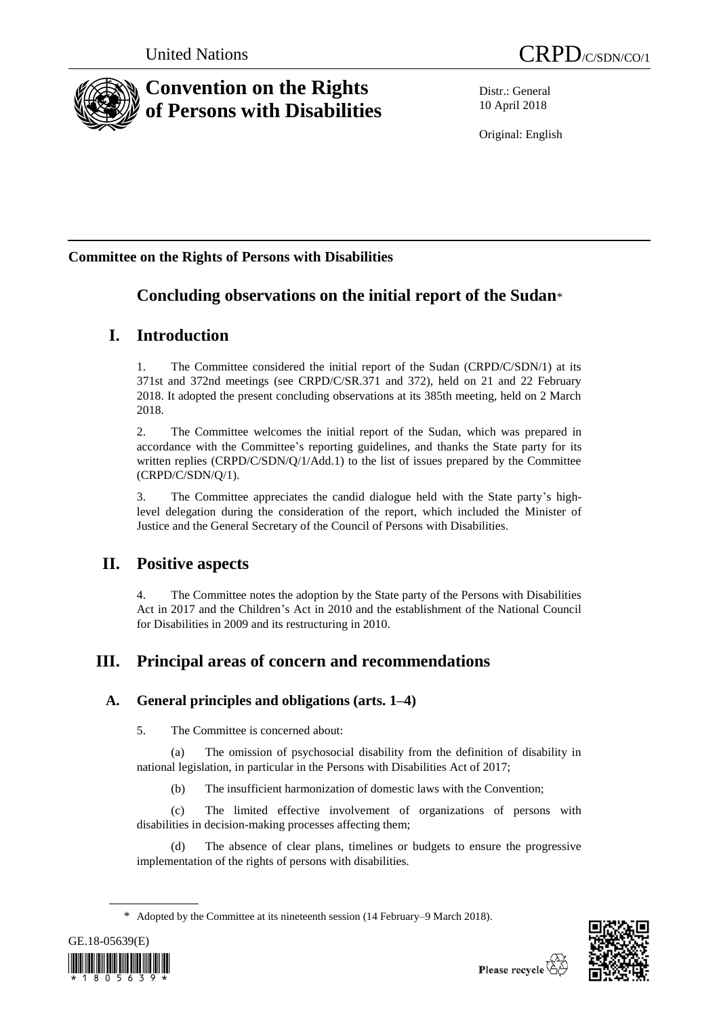

# **Convention on the Rights of Persons with Disabilities**

Distr.: General 10 April 2018

Original: English

## **Committee on the Rights of Persons with Disabilities**

# **Concluding observations on the initial report of the Sudan**\*

## **I. Introduction**

1. The Committee considered the initial report of the Sudan (CRPD/C/SDN/1) at its 371st and 372nd meetings (see CRPD/C/SR.371 and 372), held on 21 and 22 February 2018. It adopted the present concluding observations at its 385th meeting, held on 2 March 2018.

2. The Committee welcomes the initial report of the Sudan, which was prepared in accordance with the Committee's reporting guidelines, and thanks the State party for its written replies (CRPD/C/SDN/Q/1/Add.1) to the list of issues prepared by the Committee (CRPD/C/SDN/Q/1).

3. The Committee appreciates the candid dialogue held with the State party's highlevel delegation during the consideration of the report, which included the Minister of Justice and the General Secretary of the Council of Persons with Disabilities.

## **II. Positive aspects**

4. The Committee notes the adoption by the State party of the Persons with Disabilities Act in 2017 and the Children's Act in 2010 and the establishment of the National Council for Disabilities in 2009 and its restructuring in 2010.

# **III. Principal areas of concern and recommendations**

## **A. General principles and obligations (arts. 1–4)**

5. The Committee is concerned about:

(a) The omission of psychosocial disability from the definition of disability in national legislation, in particular in the Persons with Disabilities Act of 2017;

(b) The insufficient harmonization of domestic laws with the Convention;

(c) The limited effective involvement of organizations of persons with disabilities in decision-making processes affecting them;

(d) The absence of clear plans, timelines or budgets to ensure the progressive implementation of the rights of persons with disabilities.

<sup>\*</sup> Adopted by the Committee at its nineteenth session (14 February–9 March 2018).



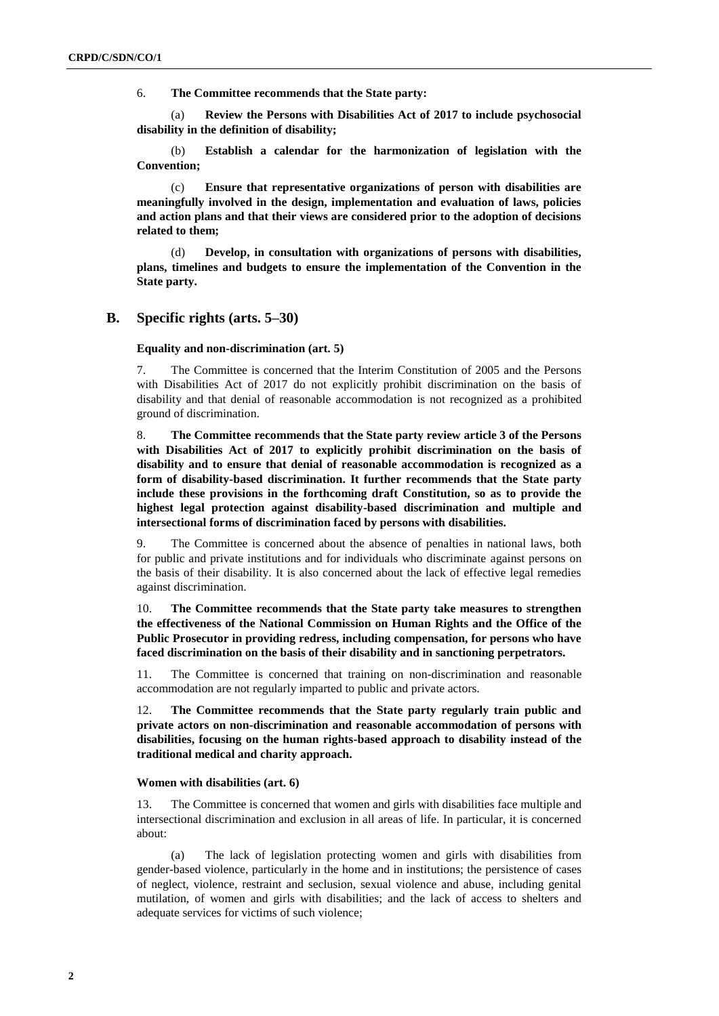6. **The Committee recommends that the State party:**

(a) **Review the Persons with Disabilities Act of 2017 to include psychosocial disability in the definition of disability;**

(b) **Establish a calendar for the harmonization of legislation with the Convention;** 

(c) **Ensure that representative organizations of person with disabilities are meaningfully involved in the design, implementation and evaluation of laws, policies and action plans and that their views are considered prior to the adoption of decisions related to them;** 

(d) **Develop, in consultation with organizations of persons with disabilities, plans, timelines and budgets to ensure the implementation of the Convention in the State party.** 

## **B. Specific rights (arts. 5–30)**

**Equality and non-discrimination (art. 5)**

7. The Committee is concerned that the Interim Constitution of 2005 and the Persons with Disabilities Act of 2017 do not explicitly prohibit discrimination on the basis of disability and that denial of reasonable accommodation is not recognized as a prohibited ground of discrimination.

8. **The Committee recommends that the State party review article 3 of the Persons with Disabilities Act of 2017 to explicitly prohibit discrimination on the basis of disability and to ensure that denial of reasonable accommodation is recognized as a form of disability-based discrimination. It further recommends that the State party include these provisions in the forthcoming draft Constitution, so as to provide the highest legal protection against disability-based discrimination and multiple and intersectional forms of discrimination faced by persons with disabilities.**

9. The Committee is concerned about the absence of penalties in national laws, both for public and private institutions and for individuals who discriminate against persons on the basis of their disability. It is also concerned about the lack of effective legal remedies against discrimination.

10. **The Committee recommends that the State party take measures to strengthen the effectiveness of the National Commission on Human Rights and the Office of the Public Prosecutor in providing redress, including compensation, for persons who have faced discrimination on the basis of their disability and in sanctioning perpetrators.**

11. The Committee is concerned that training on non-discrimination and reasonable accommodation are not regularly imparted to public and private actors.

12. **The Committee recommends that the State party regularly train public and private actors on non-discrimination and reasonable accommodation of persons with disabilities, focusing on the human rights-based approach to disability instead of the traditional medical and charity approach.**

## **Women with disabilities (art. 6)**

13. The Committee is concerned that women and girls with disabilities face multiple and intersectional discrimination and exclusion in all areas of life. In particular, it is concerned about:

(a) The lack of legislation protecting women and girls with disabilities from gender-based violence, particularly in the home and in institutions; the persistence of cases of neglect, violence, restraint and seclusion, sexual violence and abuse, including genital mutilation, of women and girls with disabilities; and the lack of access to shelters and adequate services for victims of such violence;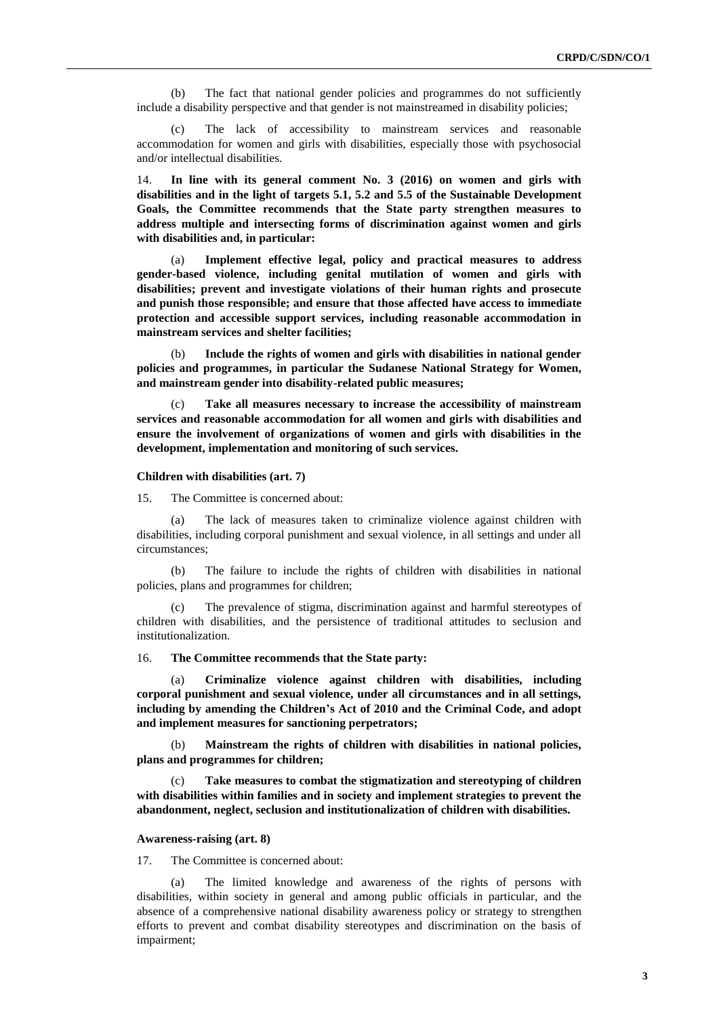(b) The fact that national gender policies and programmes do not sufficiently include a disability perspective and that gender is not mainstreamed in disability policies;

(c) The lack of accessibility to mainstream services and reasonable accommodation for women and girls with disabilities, especially those with psychosocial and/or intellectual disabilities.

14. **In line with its general comment No. 3 (2016) on women and girls with disabilities and in the light of targets 5.1, 5.2 and 5.5 of the Sustainable Development Goals, the Committee recommends that the State party strengthen measures to address multiple and intersecting forms of discrimination against women and girls with disabilities and, in particular:**

(a) **Implement effective legal, policy and practical measures to address gender-based violence, including genital mutilation of women and girls with disabilities; prevent and investigate violations of their human rights and prosecute and punish those responsible; and ensure that those affected have access to immediate protection and accessible support services, including reasonable accommodation in mainstream services and shelter facilities;**

(b) **Include the rights of women and girls with disabilities in national gender policies and programmes, in particular the Sudanese National Strategy for Women, and mainstream gender into disability-related public measures;** 

Take all measures necessary to increase the accessibility of mainstream **services and reasonable accommodation for all women and girls with disabilities and ensure the involvement of organizations of women and girls with disabilities in the development, implementation and monitoring of such services.**

#### **Children with disabilities (art. 7)**

15. The Committee is concerned about:

(a) The lack of measures taken to criminalize violence against children with disabilities, including corporal punishment and sexual violence, in all settings and under all circumstances;

(b) The failure to include the rights of children with disabilities in national policies, plans and programmes for children;

The prevalence of stigma, discrimination against and harmful stereotypes of children with disabilities, and the persistence of traditional attitudes to seclusion and institutionalization.

16. **The Committee recommends that the State party:**

(a) **Criminalize violence against children with disabilities, including corporal punishment and sexual violence, under all circumstances and in all settings, including by amending the Children's Act of 2010 and the Criminal Code, and adopt and implement measures for sanctioning perpetrators;** 

(b) **Mainstream the rights of children with disabilities in national policies, plans and programmes for children;** 

Take measures to combat the stigmatization and stereotyping of children **with disabilities within families and in society and implement strategies to prevent the abandonment, neglect, seclusion and institutionalization of children with disabilities.** 

#### **Awareness-raising (art. 8)**

17. The Committee is concerned about:

(a) The limited knowledge and awareness of the rights of persons with disabilities, within society in general and among public officials in particular, and the absence of a comprehensive national disability awareness policy or strategy to strengthen efforts to prevent and combat disability stereotypes and discrimination on the basis of impairment;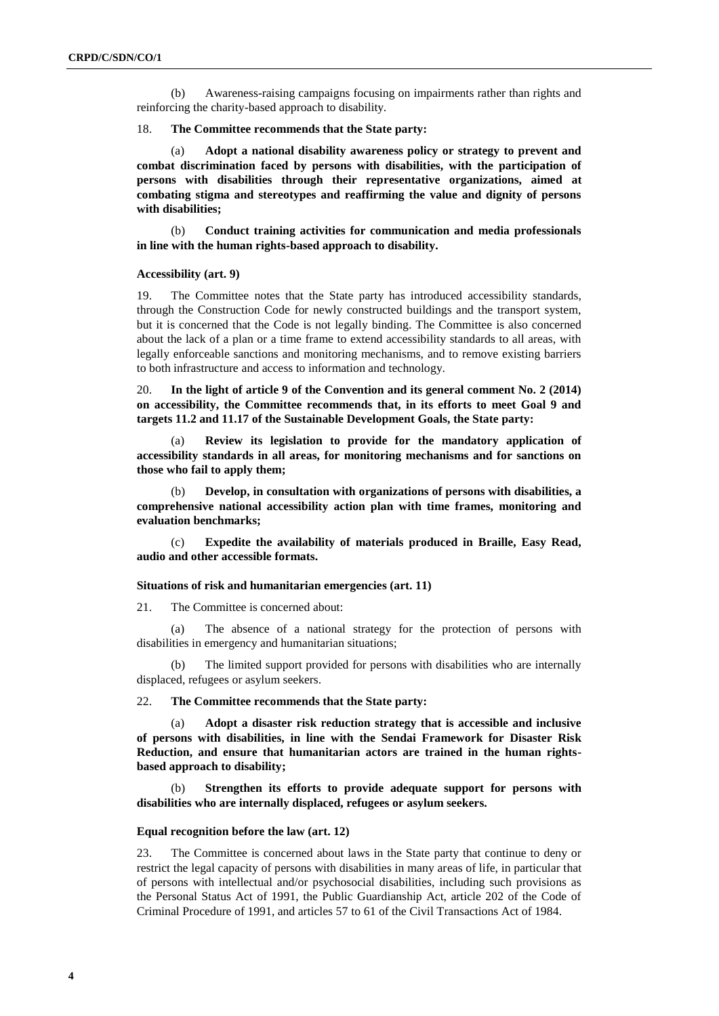(b) Awareness-raising campaigns focusing on impairments rather than rights and reinforcing the charity-based approach to disability.

18. **The Committee recommends that the State party:** 

(a) **Adopt a national disability awareness policy or strategy to prevent and combat discrimination faced by persons with disabilities, with the participation of persons with disabilities through their representative organizations, aimed at combating stigma and stereotypes and reaffirming the value and dignity of persons with disabilities;** 

(b) **Conduct training activities for communication and media professionals in line with the human rights-based approach to disability.** 

#### **Accessibility (art. 9)**

19. The Committee notes that the State party has introduced accessibility standards, through the Construction Code for newly constructed buildings and the transport system, but it is concerned that the Code is not legally binding. The Committee is also concerned about the lack of a plan or a time frame to extend accessibility standards to all areas, with legally enforceable sanctions and monitoring mechanisms, and to remove existing barriers to both infrastructure and access to information and technology.

20. **In the light of article 9 of the Convention and its general comment No. 2 (2014) on accessibility, the Committee recommends that, in its efforts to meet Goal 9 and targets 11.2 and 11.17 of the Sustainable Development Goals, the State party:** 

(a) **Review its legislation to provide for the mandatory application of accessibility standards in all areas, for monitoring mechanisms and for sanctions on those who fail to apply them;**

(b) **Develop, in consultation with organizations of persons with disabilities, a comprehensive national accessibility action plan with time frames, monitoring and evaluation benchmarks;** 

(c) **Expedite the availability of materials produced in Braille, Easy Read, audio and other accessible formats.**

### **Situations of risk and humanitarian emergencies (art. 11)**

21. The Committee is concerned about:

(a) The absence of a national strategy for the protection of persons with disabilities in emergency and humanitarian situations;

(b) The limited support provided for persons with disabilities who are internally displaced, refugees or asylum seekers.

22. **The Committee recommends that the State party:** 

Adopt a disaster risk reduction strategy that is accessible and inclusive **of persons with disabilities, in line with the Sendai Framework for Disaster Risk Reduction, and ensure that humanitarian actors are trained in the human rightsbased approach to disability;** 

Strengthen its efforts to provide adequate support for persons with **disabilities who are internally displaced, refugees or asylum seekers.**

### **Equal recognition before the law (art. 12)**

23. The Committee is concerned about laws in the State party that continue to deny or restrict the legal capacity of persons with disabilities in many areas of life, in particular that of persons with intellectual and/or psychosocial disabilities, including such provisions as the Personal Status Act of 1991, the Public Guardianship Act, article 202 of the Code of Criminal Procedure of 1991, and articles 57 to 61 of the Civil Transactions Act of 1984.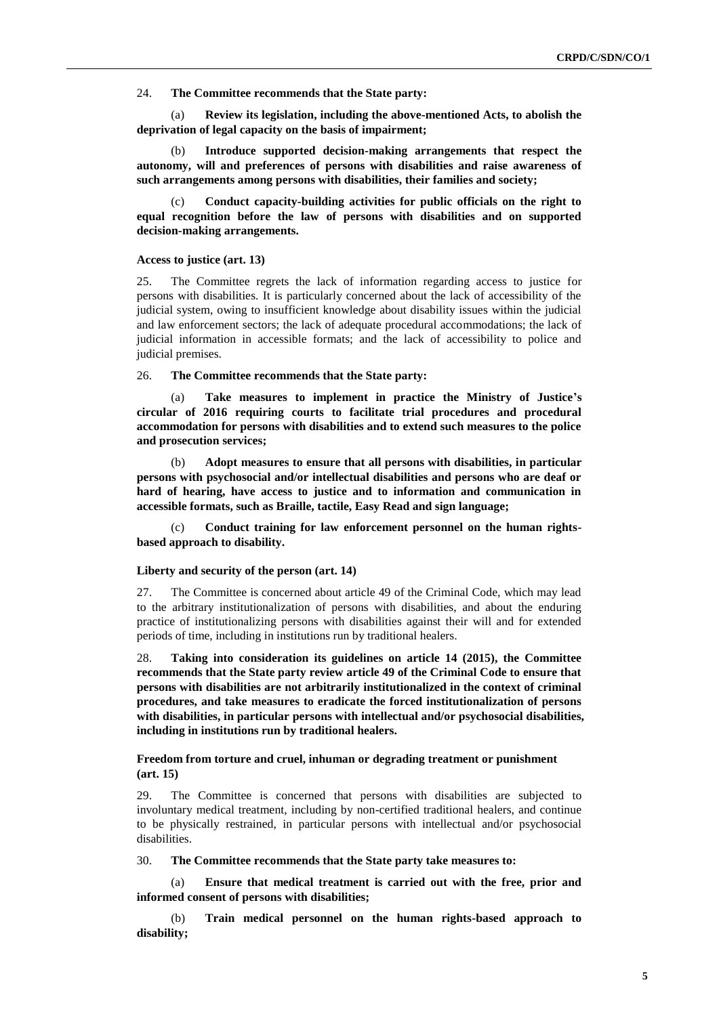24. **The Committee recommends that the State party:**

(a) **Review its legislation, including the above-mentioned Acts, to abolish the deprivation of legal capacity on the basis of impairment;**

(b) **Introduce supported decision-making arrangements that respect the autonomy, will and preferences of persons with disabilities and raise awareness of such arrangements among persons with disabilities, their families and society;** 

(c) **Conduct capacity-building activities for public officials on the right to equal recognition before the law of persons with disabilities and on supported decision-making arrangements.**

## **Access to justice (art. 13)**

25. The Committee regrets the lack of information regarding access to justice for persons with disabilities. It is particularly concerned about the lack of accessibility of the judicial system, owing to insufficient knowledge about disability issues within the judicial and law enforcement sectors; the lack of adequate procedural accommodations; the lack of judicial information in accessible formats; and the lack of accessibility to police and judicial premises.

26. **The Committee recommends that the State party:**

(a) **Take measures to implement in practice the Ministry of Justice's circular of 2016 requiring courts to facilitate trial procedures and procedural accommodation for persons with disabilities and to extend such measures to the police and prosecution services;** 

(b) **Adopt measures to ensure that all persons with disabilities, in particular persons with psychosocial and/or intellectual disabilities and persons who are deaf or hard of hearing, have access to justice and to information and communication in accessible formats, such as Braille, tactile, Easy Read and sign language;**

Conduct training for law enforcement personnel on the human rights**based approach to disability.** 

### **Liberty and security of the person (art. 14)**

27. The Committee is concerned about article 49 of the Criminal Code, which may lead to the arbitrary institutionalization of persons with disabilities, and about the enduring practice of institutionalizing persons with disabilities against their will and for extended periods of time, including in institutions run by traditional healers.

28. **Taking into consideration its guidelines on article 14 (2015), the Committee recommends that the State party review article 49 of the Criminal Code to ensure that persons with disabilities are not arbitrarily institutionalized in the context of criminal procedures, and take measures to eradicate the forced institutionalization of persons with disabilities, in particular persons with intellectual and/or psychosocial disabilities, including in institutions run by traditional healers.** 

## **Freedom from torture and cruel, inhuman or degrading treatment or punishment (art. 15)**

29. The Committee is concerned that persons with disabilities are subjected to involuntary medical treatment, including by non-certified traditional healers, and continue to be physically restrained, in particular persons with intellectual and/or psychosocial disabilities.

30. **The Committee recommends that the State party take measures to:**

(a) **Ensure that medical treatment is carried out with the free, prior and informed consent of persons with disabilities;**

(b) **Train medical personnel on the human rights-based approach to disability;**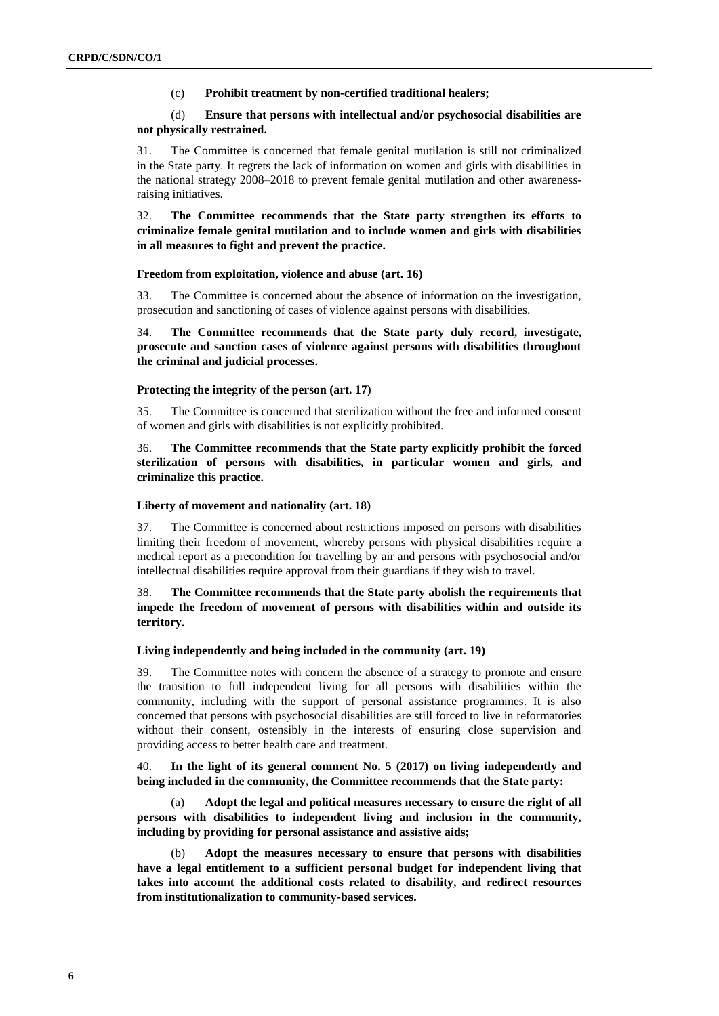## (c) **Prohibit treatment by non-certified traditional healers;**

## (d) **Ensure that persons with intellectual and/or psychosocial disabilities are not physically restrained.**

31. The Committee is concerned that female genital mutilation is still not criminalized in the State party. It regrets the lack of information on women and girls with disabilities in the national strategy 2008–2018 to prevent female genital mutilation and other awarenessraising initiatives.

32. **The Committee recommends that the State party strengthen its efforts to criminalize female genital mutilation and to include women and girls with disabilities in all measures to fight and prevent the practice.**

### **Freedom from exploitation, violence and abuse (art. 16)**

33. The Committee is concerned about the absence of information on the investigation, prosecution and sanctioning of cases of violence against persons with disabilities.

34. **The Committee recommends that the State party duly record, investigate, prosecute and sanction cases of violence against persons with disabilities throughout the criminal and judicial processes.** 

## **Protecting the integrity of the person (art. 17)**

35. The Committee is concerned that sterilization without the free and informed consent of women and girls with disabilities is not explicitly prohibited.

## 36. **The Committee recommends that the State party explicitly prohibit the forced sterilization of persons with disabilities, in particular women and girls, and criminalize this practice.**

## **Liberty of movement and nationality (art. 18)**

37. The Committee is concerned about restrictions imposed on persons with disabilities limiting their freedom of movement, whereby persons with physical disabilities require a medical report as a precondition for travelling by air and persons with psychosocial and/or intellectual disabilities require approval from their guardians if they wish to travel.

## 38. **The Committee recommends that the State party abolish the requirements that impede the freedom of movement of persons with disabilities within and outside its territory.**

#### **Living independently and being included in the community (art. 19)**

39. The Committee notes with concern the absence of a strategy to promote and ensure the transition to full independent living for all persons with disabilities within the community, including with the support of personal assistance programmes. It is also concerned that persons with psychosocial disabilities are still forced to live in reformatories without their consent, ostensibly in the interests of ensuring close supervision and providing access to better health care and treatment.

40. **In the light of its general comment No. 5 (2017) on living independently and being included in the community, the Committee recommends that the State party:**

(a) **Adopt the legal and political measures necessary to ensure the right of all persons with disabilities to independent living and inclusion in the community, including by providing for personal assistance and assistive aids;** 

(b) **Adopt the measures necessary to ensure that persons with disabilities have a legal entitlement to a sufficient personal budget for independent living that takes into account the additional costs related to disability, and redirect resources from institutionalization to community-based services.**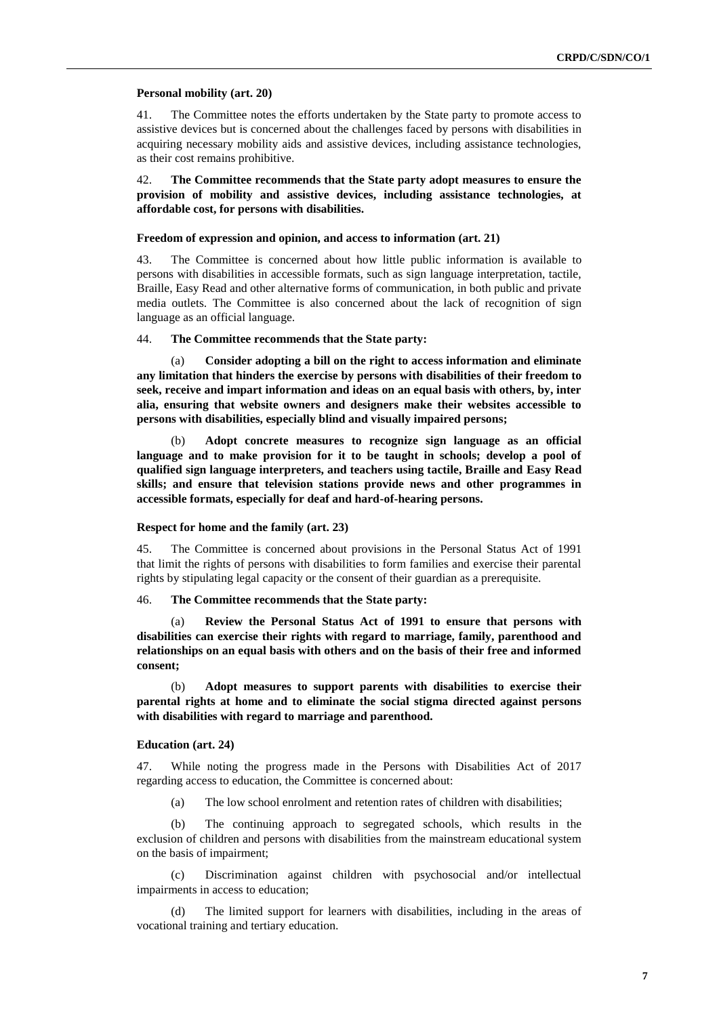#### **Personal mobility (art. 20)**

41. The Committee notes the efforts undertaken by the State party to promote access to assistive devices but is concerned about the challenges faced by persons with disabilities in acquiring necessary mobility aids and assistive devices, including assistance technologies, as their cost remains prohibitive.

42. **The Committee recommends that the State party adopt measures to ensure the provision of mobility and assistive devices, including assistance technologies, at affordable cost, for persons with disabilities.**

### **Freedom of expression and opinion, and access to information (art. 21)**

43. The Committee is concerned about how little public information is available to persons with disabilities in accessible formats, such as sign language interpretation, tactile, Braille, Easy Read and other alternative forms of communication, in both public and private media outlets. The Committee is also concerned about the lack of recognition of sign language as an official language.

## 44. **The Committee recommends that the State party:**

(a) **Consider adopting a bill on the right to access information and eliminate any limitation that hinders the exercise by persons with disabilities of their freedom to seek, receive and impart information and ideas on an equal basis with others, by, inter alia, ensuring that website owners and designers make their websites accessible to persons with disabilities, especially blind and visually impaired persons;** 

(b) **Adopt concrete measures to recognize sign language as an official language and to make provision for it to be taught in schools; develop a pool of qualified sign language interpreters, and teachers using tactile, Braille and Easy Read skills; and ensure that television stations provide news and other programmes in accessible formats, especially for deaf and hard-of-hearing persons.** 

## **Respect for home and the family (art. 23)**

45. The Committee is concerned about provisions in the Personal Status Act of 1991 that limit the rights of persons with disabilities to form families and exercise their parental rights by stipulating legal capacity or the consent of their guardian as a prerequisite.

## 46. **The Committee recommends that the State party:**

(a) **Review the Personal Status Act of 1991 to ensure that persons with disabilities can exercise their rights with regard to marriage, family, parenthood and relationships on an equal basis with others and on the basis of their free and informed consent;** 

(b) **Adopt measures to support parents with disabilities to exercise their parental rights at home and to eliminate the social stigma directed against persons with disabilities with regard to marriage and parenthood.**

## **Education (art. 24)**

47. While noting the progress made in the Persons with Disabilities Act of 2017 regarding access to education, the Committee is concerned about:

(a) The low school enrolment and retention rates of children with disabilities;

(b) The continuing approach to segregated schools, which results in the exclusion of children and persons with disabilities from the mainstream educational system on the basis of impairment;

(c) Discrimination against children with psychosocial and/or intellectual impairments in access to education;

(d) The limited support for learners with disabilities, including in the areas of vocational training and tertiary education.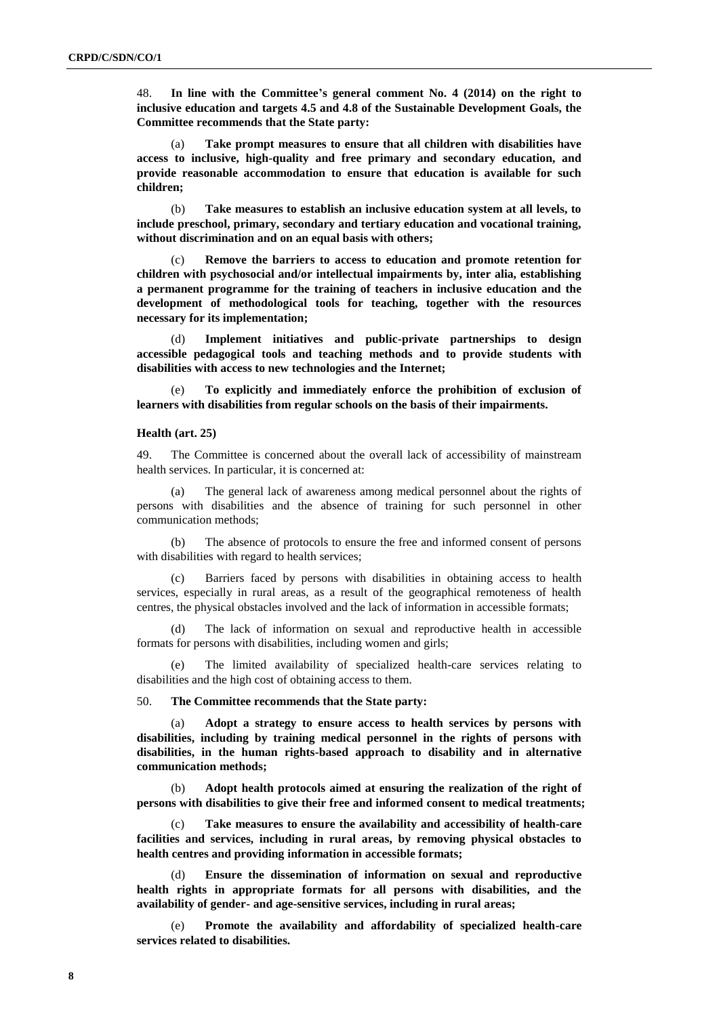48. **In line with the Committee's general comment No. 4 (2014) on the right to inclusive education and targets 4.5 and 4.8 of the Sustainable Development Goals, the Committee recommends that the State party:**

(a) **Take prompt measures to ensure that all children with disabilities have access to inclusive, high-quality and free primary and secondary education, and provide reasonable accommodation to ensure that education is available for such children;**

(b) **Take measures to establish an inclusive education system at all levels, to include preschool, primary, secondary and tertiary education and vocational training, without discrimination and on an equal basis with others;**

(c) **Remove the barriers to access to education and promote retention for children with psychosocial and/or intellectual impairments by, inter alia, establishing a permanent programme for the training of teachers in inclusive education and the development of methodological tools for teaching, together with the resources necessary for its implementation;** 

(d) **Implement initiatives and public-private partnerships to design accessible pedagogical tools and teaching methods and to provide students with disabilities with access to new technologies and the Internet;** 

To explicitly and immediately enforce the prohibition of exclusion of **learners with disabilities from regular schools on the basis of their impairments.**

#### **Health (art. 25)**

49. The Committee is concerned about the overall lack of accessibility of mainstream health services. In particular, it is concerned at:

(a) The general lack of awareness among medical personnel about the rights of persons with disabilities and the absence of training for such personnel in other communication methods;

(b) The absence of protocols to ensure the free and informed consent of persons with disabilities with regard to health services;

(c) Barriers faced by persons with disabilities in obtaining access to health services, especially in rural areas, as a result of the geographical remoteness of health centres, the physical obstacles involved and the lack of information in accessible formats;

(d) The lack of information on sexual and reproductive health in accessible formats for persons with disabilities, including women and girls;

(e) The limited availability of specialized health-care services relating to disabilities and the high cost of obtaining access to them.

50. **The Committee recommends that the State party:**

(a) **Adopt a strategy to ensure access to health services by persons with disabilities, including by training medical personnel in the rights of persons with disabilities, in the human rights-based approach to disability and in alternative communication methods;**

(b) **Adopt health protocols aimed at ensuring the realization of the right of persons with disabilities to give their free and informed consent to medical treatments;**

Take measures to ensure the availability and accessibility of health-care **facilities and services, including in rural areas, by removing physical obstacles to health centres and providing information in accessible formats;**

(d) **Ensure the dissemination of information on sexual and reproductive health rights in appropriate formats for all persons with disabilities, and the availability of gender- and age-sensitive services, including in rural areas;** 

(e) **Promote the availability and affordability of specialized health-care services related to disabilities.**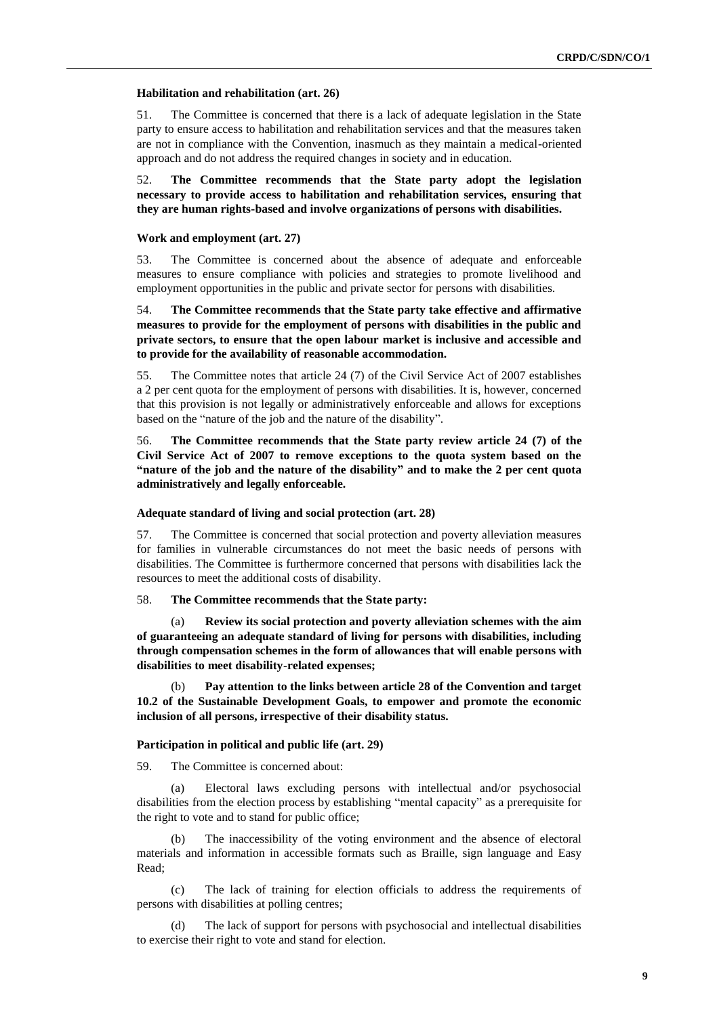#### **Habilitation and rehabilitation (art. 26)**

51. The Committee is concerned that there is a lack of adequate legislation in the State party to ensure access to habilitation and rehabilitation services and that the measures taken are not in compliance with the Convention, inasmuch as they maintain a medical-oriented approach and do not address the required changes in society and in education.

52. **The Committee recommends that the State party adopt the legislation necessary to provide access to habilitation and rehabilitation services, ensuring that they are human rights-based and involve organizations of persons with disabilities.**

#### **Work and employment (art. 27)**

53. The Committee is concerned about the absence of adequate and enforceable measures to ensure compliance with policies and strategies to promote livelihood and employment opportunities in the public and private sector for persons with disabilities.

54. **The Committee recommends that the State party take effective and affirmative measures to provide for the employment of persons with disabilities in the public and private sectors, to ensure that the open labour market is inclusive and accessible and to provide for the availability of reasonable accommodation.**

55. The Committee notes that article 24 (7) of the Civil Service Act of 2007 establishes a 2 per cent quota for the employment of persons with disabilities. It is, however, concerned that this provision is not legally or administratively enforceable and allows for exceptions based on the "nature of the job and the nature of the disability".

56. **The Committee recommends that the State party review article 24 (7) of the Civil Service Act of 2007 to remove exceptions to the quota system based on the "nature of the job and the nature of the disability" and to make the 2 per cent quota administratively and legally enforceable.**

### **Adequate standard of living and social protection (art. 28)**

57. The Committee is concerned that social protection and poverty alleviation measures for families in vulnerable circumstances do not meet the basic needs of persons with disabilities. The Committee is furthermore concerned that persons with disabilities lack the resources to meet the additional costs of disability.

## 58. **The Committee recommends that the State party:**

(a) **Review its social protection and poverty alleviation schemes with the aim of guaranteeing an adequate standard of living for persons with disabilities, including through compensation schemes in the form of allowances that will enable persons with disabilities to meet disability-related expenses;** 

Pay attention to the links between article 28 of the Convention and target **10.2 of the Sustainable Development Goals, to empower and promote the economic inclusion of all persons, irrespective of their disability status.**

## **Participation in political and public life (art. 29)**

59. The Committee is concerned about:

(a) Electoral laws excluding persons with intellectual and/or psychosocial disabilities from the election process by establishing "mental capacity" as a prerequisite for the right to vote and to stand for public office;

The inaccessibility of the voting environment and the absence of electoral materials and information in accessible formats such as Braille, sign language and Easy Read;

(c) The lack of training for election officials to address the requirements of persons with disabilities at polling centres;

(d) The lack of support for persons with psychosocial and intellectual disabilities to exercise their right to vote and stand for election.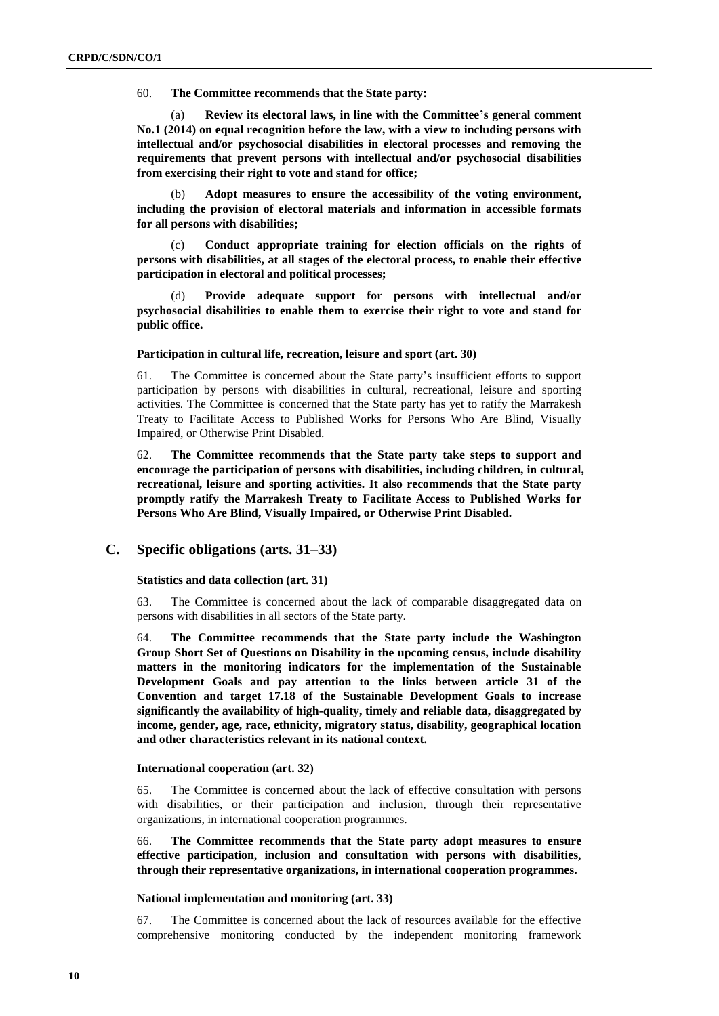60. **The Committee recommends that the State party:**

(a) **Review its electoral laws, in line with the Committee's general comment No.1 (2014) on equal recognition before the law, with a view to including persons with intellectual and/or psychosocial disabilities in electoral processes and removing the requirements that prevent persons with intellectual and/or psychosocial disabilities from exercising their right to vote and stand for office;**

(b) **Adopt measures to ensure the accessibility of the voting environment, including the provision of electoral materials and information in accessible formats for all persons with disabilities;**

(c) **Conduct appropriate training for election officials on the rights of persons with disabilities, at all stages of the electoral process, to enable their effective participation in electoral and political processes;** 

(d) **Provide adequate support for persons with intellectual and/or psychosocial disabilities to enable them to exercise their right to vote and stand for public office.** 

## **Participation in cultural life, recreation, leisure and sport (art. 30)**

61. The Committee is concerned about the State party's insufficient efforts to support participation by persons with disabilities in cultural, recreational, leisure and sporting activities. The Committee is concerned that the State party has yet to ratify the Marrakesh Treaty to Facilitate Access to Published Works for Persons Who Are Blind, Visually Impaired, or Otherwise Print Disabled.

62. **The Committee recommends that the State party take steps to support and encourage the participation of persons with disabilities, including children, in cultural, recreational, leisure and sporting activities. It also recommends that the State party promptly ratify the Marrakesh Treaty to Facilitate Access to Published Works for Persons Who Are Blind, Visually Impaired, or Otherwise Print Disabled.**

## **C. Specific obligations (arts. 31–33)**

**Statistics and data collection (art. 31)**

63. The Committee is concerned about the lack of comparable disaggregated data on persons with disabilities in all sectors of the State party.

64. **The Committee recommends that the State party include the Washington Group Short Set of Questions on Disability in the upcoming census, include disability matters in the monitoring indicators for the implementation of the Sustainable Development Goals and pay attention to the links between article 31 of the Convention and target 17.18 of the Sustainable Development Goals to increase significantly the availability of high-quality, timely and reliable data, disaggregated by income, gender, age, race, ethnicity, migratory status, disability, geographical location and other characteristics relevant in its national context.**

## **International cooperation (art. 32)**

65. The Committee is concerned about the lack of effective consultation with persons with disabilities, or their participation and inclusion, through their representative organizations, in international cooperation programmes.

66. **The Committee recommends that the State party adopt measures to ensure effective participation, inclusion and consultation with persons with disabilities, through their representative organizations, in international cooperation programmes.**

## **National implementation and monitoring (art. 33)**

67. The Committee is concerned about the lack of resources available for the effective comprehensive monitoring conducted by the independent monitoring framework